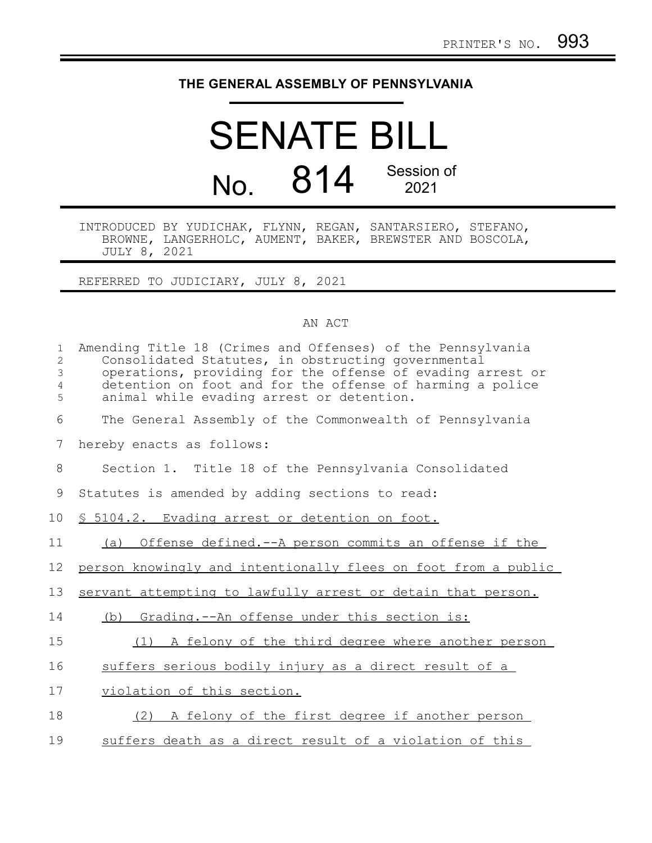## **THE GENERAL ASSEMBLY OF PENNSYLVANIA**

## SENATE BILL No. 814 Session of 2021

INTRODUCED BY YUDICHAK, FLYNN, REGAN, SANTARSIERO, STEFANO, BROWNE, LANGERHOLC, AUMENT, BAKER, BREWSTER AND BOSCOLA, JULY 8, 2021

REFERRED TO JUDICIARY, JULY 8, 2021

## AN ACT

| $\mathbf 1$<br>$\overline{2}$<br>3<br>$\overline{4}$<br>5 | Amending Title 18 (Crimes and Offenses) of the Pennsylvania<br>Consolidated Statutes, in obstructing governmental<br>operations, providing for the offense of evading arrest or<br>detention on foot and for the offense of harming a police<br>animal while evading arrest or detention. |
|-----------------------------------------------------------|-------------------------------------------------------------------------------------------------------------------------------------------------------------------------------------------------------------------------------------------------------------------------------------------|
| 6                                                         | The General Assembly of the Commonwealth of Pennsylvania                                                                                                                                                                                                                                  |
| 7                                                         | hereby enacts as follows:                                                                                                                                                                                                                                                                 |
| 8                                                         | Section 1. Title 18 of the Pennsylvania Consolidated                                                                                                                                                                                                                                      |
| 9                                                         | Statutes is amended by adding sections to read:                                                                                                                                                                                                                                           |
| 10                                                        | § 5104.2. Evading arrest or detention on foot.                                                                                                                                                                                                                                            |
| 11                                                        | (a) Offense defined.--A person commits an offense if the                                                                                                                                                                                                                                  |
| 12                                                        | person knowingly and intentionally flees on foot from a public                                                                                                                                                                                                                            |
| 13                                                        | servant attempting to lawfully arrest or detain that person.                                                                                                                                                                                                                              |
| 14                                                        | (b) Grading.--An offense under this section is:                                                                                                                                                                                                                                           |
| 15                                                        | A felony of the third degree where another person<br>(1)                                                                                                                                                                                                                                  |
| 16                                                        | suffers serious bodily injury as a direct result of a                                                                                                                                                                                                                                     |
| 17                                                        | violation of this section.                                                                                                                                                                                                                                                                |
| 18                                                        | (2) A felony of the first degree if another person                                                                                                                                                                                                                                        |
| 19                                                        | suffers death as a direct result of a violation of this                                                                                                                                                                                                                                   |